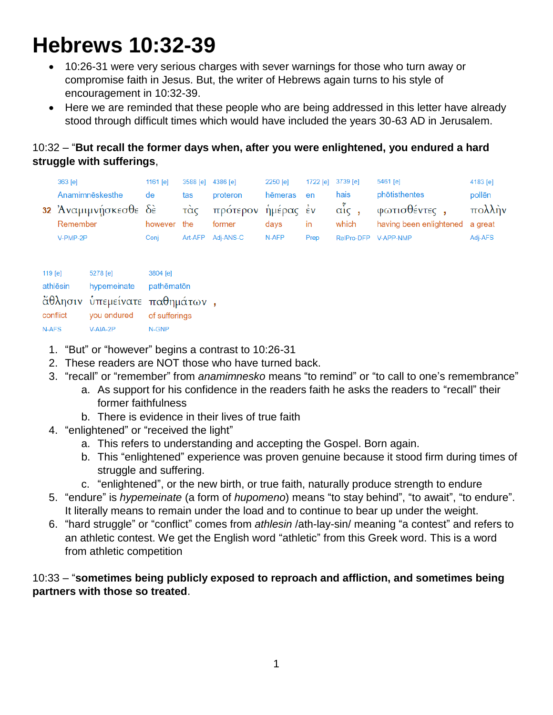# **Hebrews 10:32-39**

- 10:26-31 were very serious charges with sever warnings for those who turn away or compromise faith in Jesus. But, the writer of Hebrews again turns to his style of encouragement in 10:32-39.
- Here we are reminded that these people who are being addressed in this letter have already stood through difficult times which would have included the years 30-63 AD in Jerusalem.

# 10:32 – "**But recall the former days when, after you were enlightened, you endured a hard struggle with sufferings**,

| RelPro-DFP V-APP-NMP |  | $363$ [e]<br>Anamimneskesthe<br>32 Άναμιμνήσκεσθε δὲ<br>Remember<br>V-PMP-2P | 1161 $[e]$<br>de<br>however<br>Coni | 3588 [e]<br>tas<br>τὰς<br>the<br>Art-AFP | 4386 [e]<br>proteron<br>πρότερον ἡμέρας ἐν σἶς,<br>former<br>Adi-ANS-C | 2250 [e]<br>hēmeras en<br>davs<br>N-AFP | $\mathsf{In}$<br>Prep | 1722 [e] 3739 [e]<br>hais<br>which | $5461$ [e]<br>phōtisthentes<br>φωτισθέντες,<br>having been enlightened a great | 4183 [e]<br>pollen<br>$\pi$ ολλήν<br>Adj-AFS |
|----------------------|--|------------------------------------------------------------------------------|-------------------------------------|------------------------------------------|------------------------------------------------------------------------|-----------------------------------------|-----------------------|------------------------------------|--------------------------------------------------------------------------------|----------------------------------------------|
|----------------------|--|------------------------------------------------------------------------------|-------------------------------------|------------------------------------------|------------------------------------------------------------------------|-----------------------------------------|-----------------------|------------------------------------|--------------------------------------------------------------------------------|----------------------------------------------|

| 119 [e]  | 5278 [e]    | 3804 [e]                      |  |
|----------|-------------|-------------------------------|--|
| athlēsin | hypemeinate | pathēmatōn                    |  |
|          |             | άθλησιν υπεμείνατε παθημάτων, |  |
| conflict | you endured | of sufferings                 |  |
| N-AFS    | V-AIA-2P    | N-GNP                         |  |

- 1. "But" or "however" begins a contrast to 10:26-31
- 2. These readers are NOT those who have turned back.
- 3. "recall" or "remember" from *anamimnesko* means "to remind" or "to call to one's remembrance"
	- a. As support for his confidence in the readers faith he asks the readers to "recall" their former faithfulness
	- b. There is evidence in their lives of true faith
- 4. "enlightened" or "received the light"
	- a. This refers to understanding and accepting the Gospel. Born again.
	- b. This "enlightened" experience was proven genuine because it stood firm during times of struggle and suffering.
	- c. "enlightened", or the new birth, or true faith, naturally produce strength to endure
- 5. "endure" is *hypemeinate* (a form of *hupomeno*) means "to stay behind", "to await", "to endure". It literally means to remain under the load and to continue to bear up under the weight.
- 6. "hard struggle" or "conflict" comes from *athlesin* /ath-lay-sin/ meaning "a contest" and refers to an athletic contest. We get the English word "athletic" from this Greek word. This is a word from athletic competition

## 10:33 – "**sometimes being publicly exposed to reproach and affliction, and sometimes being partners with those so treated**.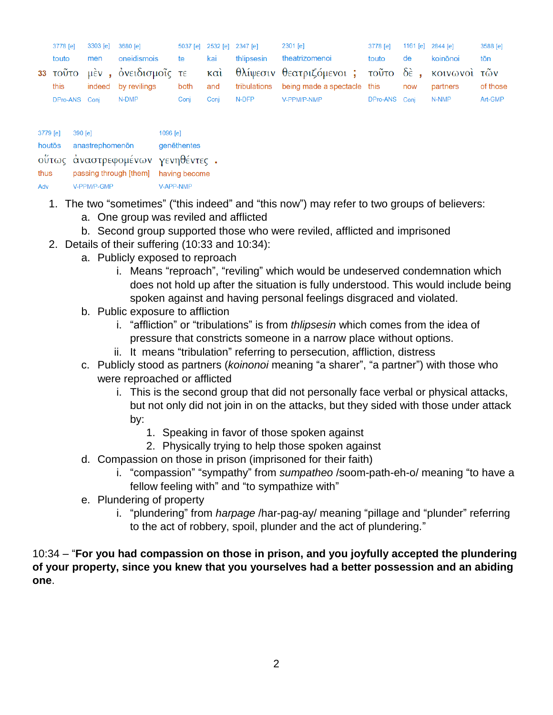| 3778 [e]      |     | 3303 [e] 3680 [e]            |           |      | 5037 [e] 2532 [e] 2347 [e] | 2301 [e]                                                                        | 3778 [e] 1161 [e] 2844 [e] |     |          | 3588 [e] |
|---------------|-----|------------------------------|-----------|------|----------------------------|---------------------------------------------------------------------------------|----------------------------|-----|----------|----------|
| touto         | men | oneidismois                  | <b>te</b> | kai  | thlipsesin                 | theatrizomenoi                                                                  | touto                      | de  | koinōnoi | tōn      |
|               |     |                              |           |      |                            | 33 τοῦτο μὲν, ὀνειδισμοῖς τε καὶ θλίψεσιν θεατριζόμενοι; τοῦτο δὲ, κοινωνοὶ τῶν |                            |     |          |          |
| this          |     | indeed by revilings both and |           |      |                            | tribulations being made a spectacle this                                        |                            | now | partners | of those |
| DPro-ANS Conj |     | $N$ -DMP                     | Conj      | Conj | N-DFP                      | V-PPM/P-NMP                                                                     | DPro-ANS Conj N-NMP        |     |          | Art-GMP  |

| 3779 [e] | 390 [e]                              | 1096 [e]    |
|----------|--------------------------------------|-------------|
| houtōs   | anastrephomenon                      | genēthentes |
|          | ούτως αναστρεφομένων γενηθέντες.     |             |
| thus     | passing through [them] having become |             |
| Adv      | V-PPM/P-GMP                          | V-APP-NMP   |

- 1. The two "sometimes" ("this indeed" and "this now") may refer to two groups of believers:
	- a. One group was reviled and afflicted
	- b. Second group supported those who were reviled, afflicted and imprisoned
- 2. Details of their suffering (10:33 and 10:34):
	- a. Publicly exposed to reproach
		- i. Means "reproach", "reviling" which would be undeserved condemnation which does not hold up after the situation is fully understood. This would include being spoken against and having personal feelings disgraced and violated.
	- b. Public exposure to affliction
		- i. "affliction" or "tribulations" is from *thlipsesin* which comes from the idea of pressure that constricts someone in a narrow place without options.
		- ii. It means "tribulation" referring to persecution, affliction, distress
	- c. Publicly stood as partners (*koinonoi* meaning "a sharer", "a partner") with those who were reproached or afflicted
		- i. This is the second group that did not personally face verbal or physical attacks, but not only did not join in on the attacks, but they sided with those under attack by:
			- 1. Speaking in favor of those spoken against
			- 2. Physically trying to help those spoken against
	- d. Compassion on those in prison (imprisoned for their faith)
		- i. "compassion" "sympathy" from *sumpatheo* /soom-path-eh-o/ meaning "to have a fellow feeling with" and "to sympathize with"
	- e. Plundering of property
		- i. "plundering" from *harpage* /har-pag-ay/ meaning "pillage and "plunder" referring to the act of robbery, spoil, plunder and the act of plundering."

10:34 – "**For you had compassion on those in prison, and you joyfully accepted the plundering of your property, since you knew that you yourselves had a better possession and an abiding one**.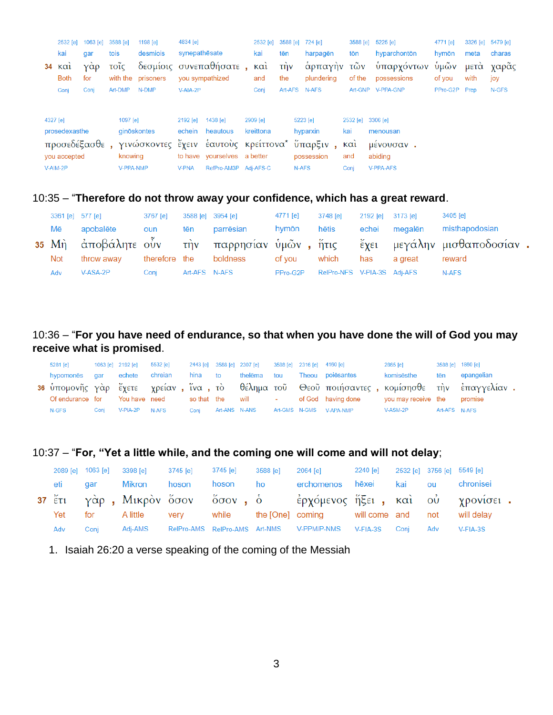|                                            | 2532 [e]<br>kai                   | 1063 [e]<br>qar | 3588 [e]<br>tois |                            | 1198 [e]<br>desmiois | 4834 [e]<br>synepathesate                                                   |                                                      | 2532 [e]<br>kai          | tēn                     |                      | 3588 [e] 724 [e]<br>harpagēn                       | 3588 [e]<br>tōn       | 5225 [e]<br>hyparchontōn    | 4771 [e]<br>hymōn | 3326 [e]<br>meta | 5479 [e]<br>charas |
|--------------------------------------------|-----------------------------------|-----------------|------------------|----------------------------|----------------------|-----------------------------------------------------------------------------|------------------------------------------------------|--------------------------|-------------------------|----------------------|----------------------------------------------------|-----------------------|-----------------------------|-------------------|------------------|--------------------|
|                                            | $34 \times \alpha$<br><b>Both</b> | Υάρ<br>for      | τοΐς             |                            | with the prisoners   |                                                                             | δεσμίοις συνεπαθήσατε,<br>you sympathized            | $\kappa$ $\alpha$<br>and | τ <sub>η</sub> ν<br>the |                      | άρπαγὴν τῶν<br>plundering                          | of the                | ύπαρχόντων<br>possessions   | ὑμῶν<br>of you    | μετα<br>with     | γαρας<br>joy       |
|                                            | Conj                              | Conj            | Art-DMP          |                            | N-DMP                | V-AIA-2P                                                                    |                                                      | Conj                     | Art-AFS                 |                      | N-AFS                                              |                       | Art-GNP V-PPA-GNP           | PPro-G2P Prep     |                  | N-GFS              |
| 4327 [e]<br>prosedexasthe<br>προσεδέξασθε, |                                   |                 | 1097 [e]         | ginōskontes<br>γινώσκοντες | 2192 [e]             | 1438 [e]<br>echein heautous<br>έχειν έαυτούς κρείττονα <sup>*</sup> ύπαρξιν | 2909 [e]<br>kreittona                                |                          |                         | 5223 [e]<br>hyparxin | 2532 [e] 3306 [e]<br>kai<br>$K\alpha$ <sub>1</sub> | menousan<br>μένουσαν. |                             |                   |                  |                    |
|                                            | you accepted<br>V-AIM-2P          |                 |                  | knowing<br>V-PPA-NMP       |                      | <b>V-PNA</b>                                                                | to have yourselves a better<br>RefPro-AM3P Adj-AFS-C |                          |                         | N-AFS                | possession                                         | and<br>Conj           | abiding<br><b>V-PPA-AFS</b> |                   |                  |                    |

#### 10:35 – "**Therefore do not throw away your confidence, which has a great reward**.

|     | 3361 [e] 577 [e] | 3767 [e] |               | 3588 [e] 3954 [e]      | 4771 [e]       | 3748 [e]                    | 2192 [e] 3173 [e] |               | 3405 [e]                                                                 |  |
|-----|------------------|----------|---------------|------------------------|----------------|-----------------------------|-------------------|---------------|--------------------------------------------------------------------------|--|
| Mē  | apobalēte oun    |          | tēn           | parrēsian              | hymōn          | hētis                       |                   | echei megalēn | misthapodosian                                                           |  |
|     |                  |          |               |                        |                |                             |                   |               | 35 Μὴ ἀποβάλητε οὖν τὴν παρρησίαν ὑμῶν, ἥτις ἔχει μεγάλην μισθαποδοσίαν. |  |
| Not | throw awav       |          |               | therefore the boldness | of vou   which |                             | has               | a great       | reward                                                                   |  |
| Adv | V-ASA-2P         | Conj     | Art-AFS N-AFS |                        | PPro-G2P       | RelPro-NFS V-PIA-3S Adj-AFS |                   |               | N-AFS                                                                    |  |

## 10:36 – "**For you have need of endurance, so that when you have done the will of God you may receive what is promised**.

| 5281 [e]         |      | 1063 [e] 2192 [e] | 5532 [e]      |      | 2443 [e] 3588 [e] 2307 [e] 3588 [e] 2316 [e] 4160 [e] |  |                                                                                                 | 2865 [e]                    |               | 3588 [e] 1860 [e] |
|------------------|------|-------------------|---------------|------|-------------------------------------------------------|--|-------------------------------------------------------------------------------------------------|-----------------------------|---------------|-------------------|
| hypomonēs gar    |      |                   |               |      |                                                       |  | echete chreian  hina to  thelēma tou  Theou poiēsantes                                          | komisēsthe                  |               | tēn epangelian    |
|                  |      |                   |               |      |                                                       |  | 36 ύπομονῆς γὰρ ἔχετε γρείαν , ἵνα , τὸ θέλημα τοῦ Θεοῦ ποιήσαντες , κομίσησθε τὴν ἐπαγγελίαν . |                             |               |                   |
| Of endurance for |      |                   | You have need |      |                                                       |  | so that the will contact of God having done                                                     | you may receive the promise |               |                   |
| N-GFS            | Coni | V-PIA-2P          | <b>N-AFS</b>  | Coni |                                                       |  | Art-ANS N-ANS Art-GMS N-GMS V-APA-NMP                                                           | V-ASM-2P                    | Art-AFS N-AFS |                   |

## 10:37 – "**For, "Yet a little while, and the coming one will come and will not delay**;

|     |            | 2089 [e] 1063 [e] 3398 [e] 3745 [e] 3745 [e] |       |          | 3588 [e] | 2064 [e] 2240 [e] 2532 [e] 3756 [e] 5549 [e]                         |  |     |           |
|-----|------------|----------------------------------------------|-------|----------|----------|----------------------------------------------------------------------|--|-----|-----------|
| eti | <b>gar</b> | Mikron                                       | hoson | hoson ho |          | erchomenos hēxei kai ou                                              |  |     | chronisei |
|     |            |                                              |       |          |          | 37 έτι γάρ, Μικρόν ὄσον ὄσον, ὁ έρχόμενος ήξει, και ού χρονίσει.     |  |     |           |
| Yet |            |                                              |       |          |          | for Alittle very while the [One] coming will come and not will delay |  |     |           |
| Adv | Coni       |                                              |       |          |          | Adj-AMS RelPro-AMS RelPro-AMS Art-NMS V-PPM/P-NMS V-FIA-3S Conj      |  | Adv | V-FIA-3S  |

1. Isaiah 26:20 a verse speaking of the coming of the Messiah